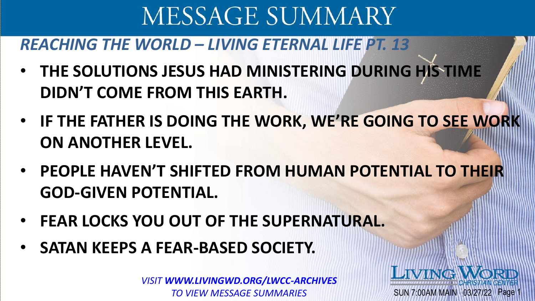### *REACHING THE WORLD – LIVING ETERNAL LIFE PT. 13*

- **THE SOLUTIONS JESUS HAD MINISTERING DURING HIS TIME DIDN'T COME FROM THIS EARTH.**
- **IF THE FATHER IS DOING THE WORK, WE'RE GOING TO SEE WORK ON ANOTHER LEVEL.**
- **PEOPLE HAVEN'T SHIFTED FROM HUMAN POTENTIAL TO THEIR GOD-GIVEN POTENTIAL.**
- **FEAR LOCKS YOU OUT OF THE SUPERNATURAL.**
- **SATAN KEEPS A FEAR-BASED SOCIETY.**

*VISIT WWW.LIVINGWD.ORG/LWCC-ARCHIVES TO VIEW MESSAGE SUMMARIES*

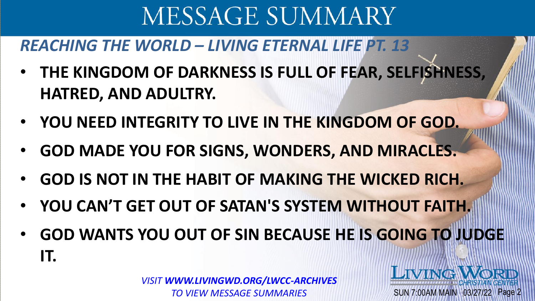### *REACHING THE WORLD – LIVING ETERNAL LIFE PT. 13*

- **THE KINGDOM OF DARKNESS IS FULL OF FEAR, SELFISHNESS, HATRED, AND ADULTRY.**
- **YOU NEED INTEGRITY TO LIVE IN THE KINGDOM OF GOD.**
- **GOD MADE YOU FOR SIGNS, WONDERS, AND MIRACLES.**
- **GOD IS NOT IN THE HABIT OF MAKING THE WICKED RICH.**
- **YOU CAN'T GET OUT OF SATAN'S SYSTEM WITHOUT FAITH.**
- **GOD WANTS YOU OUT OF SIN BECAUSE HE IS GOING TO JUDGE IT.**

*VISIT WWW.LIVINGWD.ORG/LWCC-ARCHIVES TO VIEW MESSAGE SUMMARIES*

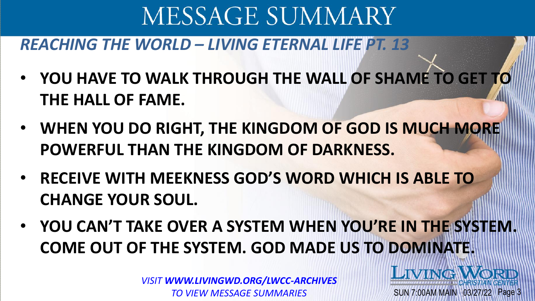#### *REACHING THE WORLD – LIVING ETERNAL LIFE PT. 13*

- **YOU HAVE TO WALK THROUGH THE WALL OF SHAME TO GET TO THE HALL OF FAME.**
- **WHEN YOU DO RIGHT, THE KINGDOM OF GOD IS MUCH MORE POWERFUL THAN THE KINGDOM OF DARKNESS.**
- **RECEIVE WITH MEEKNESS GOD'S WORD WHICH IS ABLE TO CHANGE YOUR SOUL.**
- **YOU CAN'T TAKE OVER A SYSTEM WHEN YOU'RE IN THE SYSTEM. COME OUT OF THE SYSTEM. GOD MADE US TO DOMINATE.**

SUN 7:00AM MAIN 03/27/22 Page 3

LIVING WORD

*VISIT WWW.LIVINGWD.ORG/LWCC-ARCHIVES TO VIEW MESSAGE SUMMARIES*